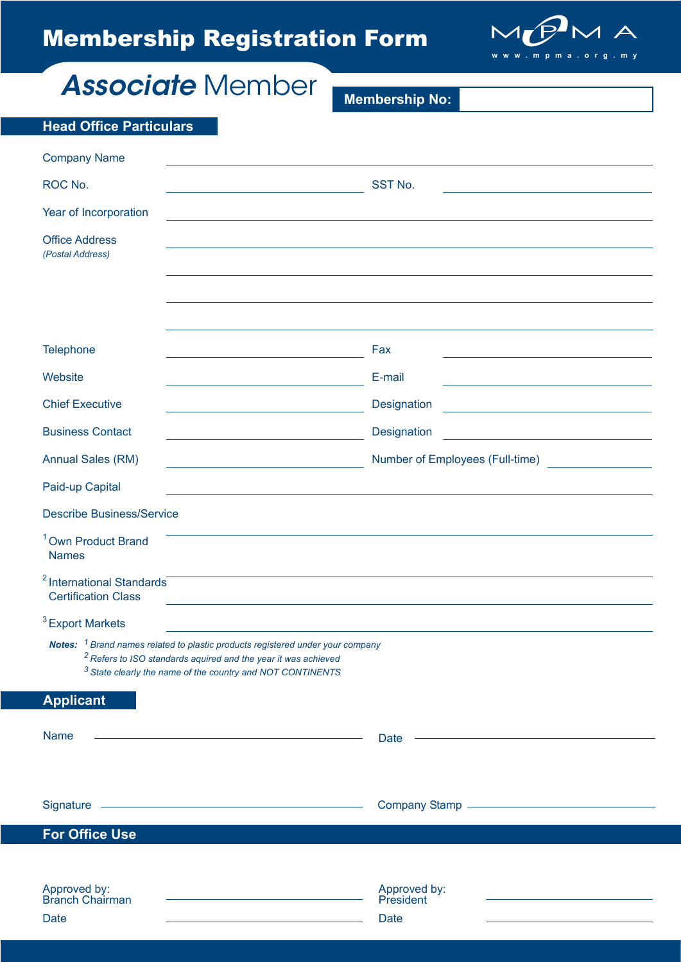# Membership Registration Form



*Associate* Member

**Membership No:** 

| <b>Head Office Particulars</b>                                                                                                                                                                                                                         |                                                                   |
|--------------------------------------------------------------------------------------------------------------------------------------------------------------------------------------------------------------------------------------------------------|-------------------------------------------------------------------|
| <b>Company Name</b>                                                                                                                                                                                                                                    |                                                                   |
| ROC No.                                                                                                                                                                                                                                                | SST No.                                                           |
| Year of Incorporation                                                                                                                                                                                                                                  |                                                                   |
| <b>Office Address</b><br>(Postal Address)                                                                                                                                                                                                              |                                                                   |
|                                                                                                                                                                                                                                                        |                                                                   |
|                                                                                                                                                                                                                                                        |                                                                   |
|                                                                                                                                                                                                                                                        |                                                                   |
| Telephone                                                                                                                                                                                                                                              | Fax                                                               |
| Website                                                                                                                                                                                                                                                | E-mail                                                            |
| <b>Chief Executive</b>                                                                                                                                                                                                                                 | Designation<br><u> 1989 - John Stein, Amerikaansk politiker (</u> |
| <b>Business Contact</b>                                                                                                                                                                                                                                | Designation                                                       |
| <b>Annual Sales (RM)</b>                                                                                                                                                                                                                               | Number of Employees (Full-time)                                   |
| Paid-up Capital                                                                                                                                                                                                                                        |                                                                   |
| <b>Describe Business/Service</b>                                                                                                                                                                                                                       |                                                                   |
| <sup>1</sup> Own Product Brand<br><b>Names</b>                                                                                                                                                                                                         |                                                                   |
| <sup>2</sup> International Standards<br><b>Certification Class</b>                                                                                                                                                                                     |                                                                   |
| $3$ Export Markets                                                                                                                                                                                                                                     |                                                                   |
| <b>Notes:</b> <sup>1</sup> Brand names related to plastic products registered under your company<br><sup>2</sup> Refers to ISO standards aquired and the year it was achieved<br><sup>3</sup> State clearly the name of the country and NOT CONTINENTS |                                                                   |
| <b>Applicant</b>                                                                                                                                                                                                                                       |                                                                   |
| Name                                                                                                                                                                                                                                                   | <b>Date</b>                                                       |
|                                                                                                                                                                                                                                                        |                                                                   |
| Signature experience and the state of the state of the state of the state of the state of the state of the state of the state of the state of the state of the state of the state of the state of the state of the state of th                         |                                                                   |
| <b>For Office Use</b>                                                                                                                                                                                                                                  |                                                                   |
|                                                                                                                                                                                                                                                        |                                                                   |
| Approved by:<br>Branch Chairman<br><b>Date</b><br>the control of the control of the control of the control of the control of                                                                                                                           | Approved by:<br>President<br><b>Date</b>                          |